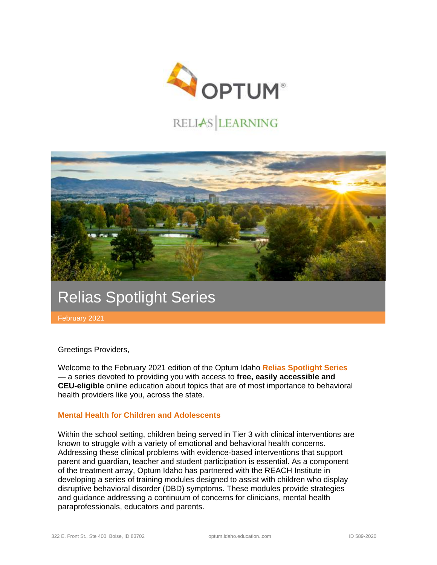

# RELIAS LEARNING



# Relias Spotlight Series

February 2021

Greetings Providers,

Welcome to the February 2021 edition of the Optum Idaho **Relias Spotlight Series**  — a series devoted to providing you with access to **free, easily accessible and CEU-eligible** online education about topics that are of most importance to behavioral health providers like you, across the state.

#### **Mental Health for Children and Adolescents**

Within the school setting, children being served in Tier 3 with clinical interventions are known to struggle with a variety of emotional and behavioral health concerns. Addressing these clinical problems with evidence-based interventions that support parent and guardian, teacher and student participation is essential. As a component of the treatment array, Optum Idaho has partnered with the REACH Institute in developing a series of training modules designed to assist with children who display disruptive behavioral disorder (DBD) symptoms. These modules provide strategies and guidance addressing a continuum of concerns for clinicians, mental health paraprofessionals, educators and parents.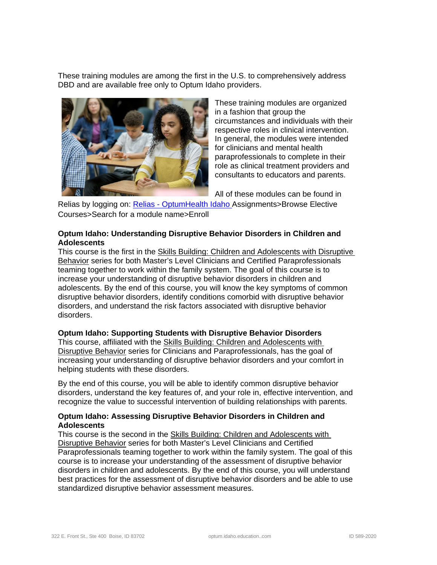These training modules are among the first in the U.S. to comprehensively address DBD and are available free only to Optum Idaho providers.



These training modules are organized in a fashion that group the circumstances and individuals with their respective roles in clinical intervention. In general, the modules were intended for clinicians and mental health paraprofessionals to complete in their role as clinical treatment providers and consultants to educators and parents.

All of these modules can be found in

Relias by logging on: Relias - [OptumHealth Idaho](https://optumidaho.training.reliaslearning.com/Users/Users.aspx) Assignments>Browse Elective Courses>Search for a module name>Enroll

## **Optum Idaho: Understanding Disruptive Behavior Disorders in Children and Adolescents**

This course is the first in the Skills Building: Children and Adolescents with Disruptive Behavior series for both Master's Level Clinicians and Certified Paraprofessionals teaming together to work within the family system. The goal of this course is to increase your understanding of disruptive behavior disorders in children and adolescents. By the end of this course, you will know the key symptoms of common disruptive behavior disorders, identify conditions comorbid with disruptive behavior disorders, and understand the risk factors associated with disruptive behavior disorders.

## **Optum Idaho: Supporting Students with Disruptive Behavior Disorders**

This course, affiliated with the Skills Building: Children and Adolescents with Disruptive Behavior series for Clinicians and Paraprofessionals, has the goal of increasing your understanding of disruptive behavior disorders and your comfort in helping students with these disorders.

By the end of this course, you will be able to identify common disruptive behavior disorders, understand the key features of, and your role in, effective intervention, and recognize the value to successful intervention of building relationships with parents.

#### **Optum Idaho: Assessing Disruptive Behavior Disorders in Children and Adolescents**

This course is the second in the Skills Building: Children and Adolescents with Disruptive Behavior series for both Master's Level Clinicians and Certified Paraprofessionals teaming together to work within the family system. The goal of this course is to increase your understanding of the assessment of disruptive behavior disorders in children and adolescents. By the end of this course, you will understand best practices for the assessment of disruptive behavior disorders and be able to use standardized disruptive behavior assessment measures.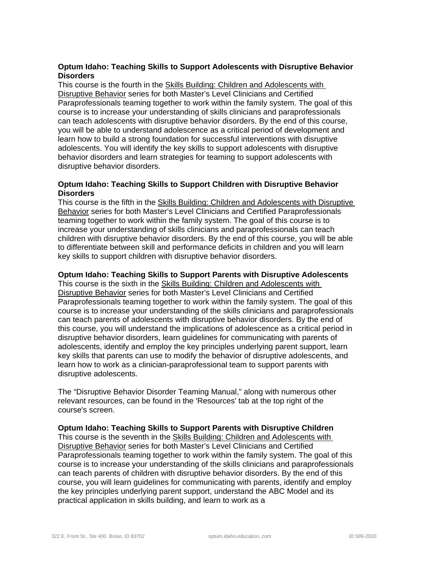## **Optum Idaho: Teaching Skills to Support Adolescents with Disruptive Behavior Disorders**

This course is the fourth in the Skills Building: Children and Adolescents with Disruptive Behavior series for both Master's Level Clinicians and Certified Paraprofessionals teaming together to work within the family system. The goal of this course is to increase your understanding of skills clinicians and paraprofessionals can teach adolescents with disruptive behavior disorders. By the end of this course, you will be able to understand adolescence as a critical period of development and learn how to build a strong foundation for successful interventions with disruptive adolescents. You will identify the key skills to support adolescents with disruptive behavior disorders and learn strategies for teaming to support adolescents with disruptive behavior disorders.

### **Optum Idaho: Teaching Skills to Support Children with Disruptive Behavior Disorders**

This course is the fifth in the Skills Building: Children and Adolescents with Disruptive **Behavior series for both Master's Level Clinicians and Certified Paraprofessionals** teaming together to work within the family system. The goal of this course is to increase your understanding of skills clinicians and paraprofessionals can teach children with disruptive behavior disorders. By the end of this course, you will be able to differentiate between skill and performance deficits in children and you will learn key skills to support children with disruptive behavior disorders.

#### **Optum Idaho: Teaching Skills to Support Parents with Disruptive Adolescents**

This course is the sixth in the Skills Building: Children and Adolescents with Disruptive Behavior series for both Master's Level Clinicians and Certified Paraprofessionals teaming together to work within the family system. The goal of this course is to increase your understanding of the skills clinicians and paraprofessionals can teach parents of adolescents with disruptive behavior disorders. By the end of this course, you will understand the implications of adolescence as a critical period in disruptive behavior disorders, learn guidelines for communicating with parents of adolescents, identify and employ the key principles underlying parent support, learn key skills that parents can use to modify the behavior of disruptive adolescents, and learn how to work as a clinician-paraprofessional team to support parents with disruptive adolescents.

The "Disruptive Behavior Disorder Teaming Manual," along with numerous other relevant resources, can be found in the 'Resources' tab at the top right of the course's screen.

#### **Optum Idaho: Teaching Skills to Support Parents with Disruptive Children**

This course is the seventh in the Skills Building: Children and Adolescents with Disruptive Behavior series for both Master's Level Clinicians and Certified Paraprofessionals teaming together to work within the family system. The goal of this course is to increase your understanding of the skills clinicians and paraprofessionals can teach parents of children with disruptive behavior disorders. By the end of this course, you will learn guidelines for communicating with parents, identify and employ the key principles underlying parent support, understand the ABC Model and its practical application in skills building, and learn to work as a